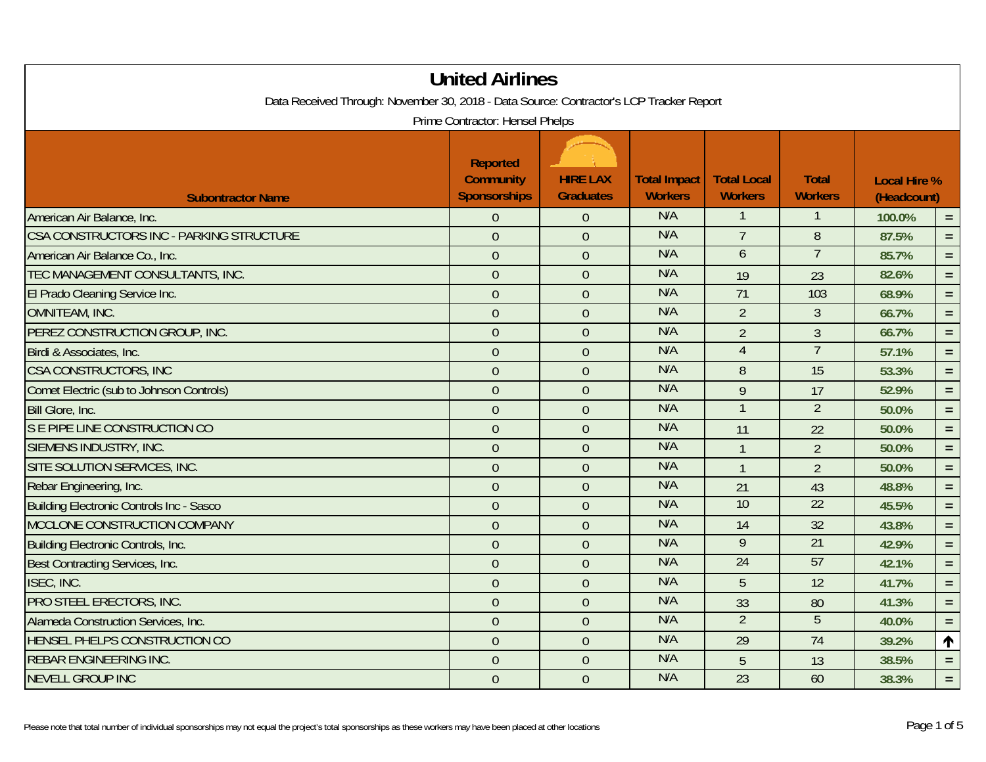| <b>United Airlines</b><br>Data Received Through: November 30, 2018 - Data Source: Contractor's LCP Tracker Report |                                                            |                                     |                                       |                                      |                                |                                    |          |  |  |
|-------------------------------------------------------------------------------------------------------------------|------------------------------------------------------------|-------------------------------------|---------------------------------------|--------------------------------------|--------------------------------|------------------------------------|----------|--|--|
| Prime Contractor: Hensel Phelps                                                                                   |                                                            |                                     |                                       |                                      |                                |                                    |          |  |  |
| <b>Subontractor Name</b>                                                                                          | <b>Reported</b><br><b>Community</b><br><b>Sponsorships</b> | <b>HIRE LAX</b><br><b>Graduates</b> | <b>Total Impact</b><br><b>Workers</b> | <b>Total Local</b><br><b>Workers</b> | <b>Total</b><br><b>Workers</b> | <b>Local Hire %</b><br>(Headcount) |          |  |  |
| American Air Balance, Inc.                                                                                        | $\overline{0}$                                             | $\theta$                            | N/A                                   | 1                                    | 1                              | 100.0%                             | $=$ .    |  |  |
| CSA CONSTRUCTORS INC - PARKING STRUCTURE                                                                          | $\overline{0}$                                             | $\overline{0}$                      | N/A                                   | $\overline{7}$                       | 8                              | 87.5%                              | $=$      |  |  |
| American Air Balance Co., Inc.                                                                                    | $\theta$                                                   | $\theta$                            | N/A                                   | 6                                    | $\overline{7}$                 | 85.7%                              | $=$ $\,$ |  |  |
| TEC MANAGEMENT CONSULTANTS, INC.                                                                                  | $\mathbf{0}$                                               | $\overline{0}$                      | N/A                                   | 19                                   | 23                             | 82.6%                              | $=$ $\,$ |  |  |
| El Prado Cleaning Service Inc.                                                                                    | $\overline{0}$                                             | $\theta$                            | N/A                                   | 71                                   | 103                            | 68.9%                              | $\equiv$ |  |  |
| <b>OMNITEAM, INC.</b>                                                                                             | $\mathbf{0}$                                               | $\theta$                            | N/A                                   | $\overline{2}$                       | $\overline{3}$                 | 66.7%                              | $=$ .    |  |  |
| PEREZ CONSTRUCTION GROUP, INC.                                                                                    | $\theta$                                                   | $\theta$                            | N/A                                   | $\overline{2}$                       | $\mathfrak{Z}$                 | 66.7%                              | $\equiv$ |  |  |
| Birdi & Associates, Inc.                                                                                          | $\overline{0}$                                             | $\overline{0}$                      | N/A                                   | $\overline{4}$                       | $\overline{7}$                 | 57.1%                              | $=$ $\,$ |  |  |
| CSA CONSTRUCTORS, INC                                                                                             | $\mathbf{0}$                                               | $\overline{0}$                      | N/A                                   | 8                                    | 15                             | 53.3%                              | $=$      |  |  |
| Comet Electric (sub to Johnson Controls)                                                                          | $\theta$                                                   | $\overline{0}$                      | N/A                                   | 9                                    | 17                             | 52.9%                              | $\equiv$ |  |  |
| Bill Glore, Inc.                                                                                                  | $\overline{0}$                                             | $\overline{0}$                      | N/A                                   | $\mathbf{1}$                         | $\overline{2}$                 | 50.0%                              | $=$ $\,$ |  |  |
| S E PIPE LINE CONSTRUCTION CO                                                                                     | $\overline{0}$                                             | $\overline{0}$                      | N/A                                   | 11                                   | 22                             | 50.0%                              | $=$ .    |  |  |
| SIEMENS INDUSTRY, INC.                                                                                            | $\mathbf{0}$                                               | $\theta$                            | N/A                                   | $\mathbf{1}$                         | $\overline{2}$                 | 50.0%                              | $=$ $\,$ |  |  |
| SITE SOLUTION SERVICES, INC.                                                                                      | $\mathbf{0}$                                               | $\theta$                            | N/A                                   | $\mathbf{1}$                         | $\overline{2}$                 | 50.0%                              | $=$ .    |  |  |
| Rebar Engineering, Inc.                                                                                           | $\overline{0}$                                             | $\overline{0}$                      | N/A                                   | 21                                   | 43                             | 48.8%                              | $\equiv$ |  |  |
| <b>Building Electronic Controls Inc - Sasco</b>                                                                   | $\overline{0}$                                             | $\overline{0}$                      | N/A                                   | 10                                   | $\overline{22}$                | 45.5%                              | $\equiv$ |  |  |
| MCCLONE CONSTRUCTION COMPANY                                                                                      | $\mathbf{0}$                                               | $\theta$                            | N/A                                   | 14                                   | 32                             | 43.8%                              | $\equiv$ |  |  |
| <b>Building Electronic Controls, Inc.</b>                                                                         | $\overline{0}$                                             | $\overline{0}$                      | N/A                                   | $\overline{9}$                       | 21                             | 42.9%                              | $=$      |  |  |
| Best Contracting Services, Inc.                                                                                   | $\overline{0}$                                             | $\overline{0}$                      | N/A                                   | 24                                   | 57                             | 42.1%                              | $=$ .    |  |  |
| ISEC, INC.                                                                                                        | $\mathbf{0}$                                               | $\theta$                            | N/A                                   | 5                                    | 12                             | 41.7%                              | $\equiv$ |  |  |
| PRO STEEL ERECTORS, INC.                                                                                          | $\boldsymbol{0}$                                           | $\theta$                            | N/A                                   | 33                                   | 80                             | 41.3%                              | $=$      |  |  |
| Alameda Construction Services, Inc.                                                                               | $\overline{0}$                                             | $\overline{0}$                      | N/A                                   | $\overline{2}$                       | $\overline{5}$                 | 40.0%                              | $=$ $\,$ |  |  |
| HENSEL PHELPS CONSTRUCTION CO                                                                                     | $\overline{0}$                                             | $\overline{0}$                      | N/A                                   | $\overline{29}$                      | $\overline{74}$                | 39.2%                              | 个        |  |  |
| <b>REBAR ENGINEERING INC.</b>                                                                                     | $\theta$                                                   | $\overline{0}$                      | N/A                                   | 5                                    | 13                             | 38.5%                              | $=$      |  |  |
| <b>NEVELL GROUP INC</b>                                                                                           | $\mathbf{0}$                                               | $\overline{0}$                      | N/A                                   | 23                                   | 60                             | 38.3%                              | $\equiv$ |  |  |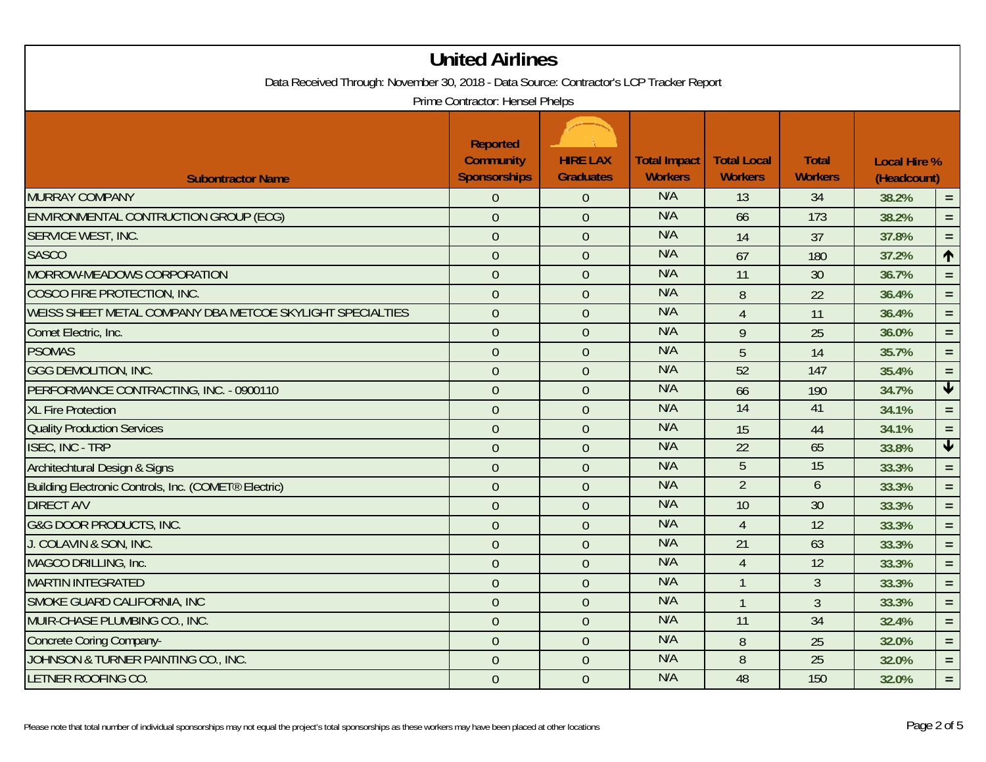| Data Received Through: November 30, 2018 - Data Source: Contractor's LCP Tracker Report | <b>United Airlines</b><br>Prime Contractor: Hensel Phelps  |                                     |                                       |                                      |                                |                                    |                         |
|-----------------------------------------------------------------------------------------|------------------------------------------------------------|-------------------------------------|---------------------------------------|--------------------------------------|--------------------------------|------------------------------------|-------------------------|
| <b>Subontractor Name</b>                                                                | <b>Reported</b><br><b>Community</b><br><b>Sponsorships</b> | <b>HIRE LAX</b><br><b>Graduates</b> | <b>Total Impact</b><br><b>Workers</b> | <b>Total Local</b><br><b>Workers</b> | <b>Total</b><br><b>Workers</b> | <b>Local Hire %</b><br>(Headcount) |                         |
| MURRAY COMPANY                                                                          | $\theta$                                                   | $\theta$                            | N/A                                   | 13                                   | 34                             | 38.2%                              | $=$ $\,$                |
| ENVIRONMENTAL CONTRUCTION GROUP (ECG)                                                   | $\mathbf{0}$                                               | $\overline{0}$                      | N/A                                   | 66                                   | 173                            | 38.2%                              | $=$                     |
| <b>SERVICE WEST, INC.</b>                                                               | $\overline{0}$                                             | $\overline{0}$                      | N/A                                   | 14                                   | 37                             | 37.8%                              | $=$ $\,$                |
| <b>SASCO</b>                                                                            | $\overline{0}$                                             | $\overline{0}$                      | N/A                                   | 67                                   | 180                            | 37.2%                              | 1                       |
| MORROW-MEADOWS CORPORATION                                                              | $\overline{0}$                                             | $\theta$                            | N/A                                   | 11                                   | 30                             | 36.7%                              | $\equiv$                |
| COSCO FIRE PROTECTION, INC.                                                             | $\overline{0}$                                             | $\mathbf{0}$                        | N/A                                   | 8                                    | 22                             | 36.4%                              | $\equiv$                |
| WEISS SHEET METAL COMPANY DBA METCOE SKYLIGHT SPECIALTIES                               | $\overline{0}$                                             | $\overline{0}$                      | N/A                                   | $\overline{4}$                       | 11                             | 36.4%                              | $=$ .                   |
| Comet Electric, Inc.                                                                    | $\overline{0}$                                             | $\overline{0}$                      | N/A                                   | 9                                    | 25                             | 36.0%                              | $=$ $\,$                |
| <b>PSOMAS</b>                                                                           | $\overline{0}$                                             | $\overline{0}$                      | N/A                                   | 5                                    | 14                             | 35.7%                              | $\equiv$                |
| <b>GGG DEMOLITION, INC.</b>                                                             | $\overline{0}$                                             | $\overline{0}$                      | N/A                                   | 52                                   | 147                            | 35.4%                              | $\equiv$                |
| PERFORMANCE CONTRACTING, INC. - 0900110                                                 | $\mathbf{0}$                                               | $\overline{0}$                      | N/A                                   | 66                                   | 190                            | 34.7%                              | $\overline{\mathbf{t}}$ |
| <b>XL Fire Protection</b>                                                               | $\overline{0}$                                             | $\overline{0}$                      | N/A                                   | 14                                   | 41                             | 34.1%                              | $=$ $\,$                |
| <b>Quality Production Services</b>                                                      | $\overline{0}$                                             | $\overline{0}$                      | N/A                                   | 15                                   | 44                             | 34.1%                              | $\equiv$                |
| <b>ISEC, INC - TRP</b>                                                                  | $\overline{0}$                                             | $\theta$                            | N/A                                   | 22                                   | 65                             | 33.8%                              | $\blacklozenge$         |
| Architechtural Design & Signs                                                           | $\overline{0}$                                             | $\theta$                            | N/A                                   | $\overline{5}$                       | 15                             | 33.3%                              | $=$ $\,$                |
| Building Electronic Controls, Inc. (COMET® Electric)                                    | $\mathbf{0}$                                               | $\overline{0}$                      | N/A                                   | $\overline{2}$                       | 6                              | 33.3%                              | $=$                     |
| <b>DIRECT A/V</b>                                                                       | $\overline{0}$                                             | $\overline{0}$                      | N/A                                   | 10                                   | 30                             | 33.3%                              | $=$ $\,$                |
| <b>G&amp;G DOOR PRODUCTS, INC.</b>                                                      | $\overline{0}$                                             | $\overline{0}$                      | N/A                                   | $\overline{4}$                       | 12                             | 33.3%                              | $\equiv$                |
| J. COLAVIN & SON, INC.                                                                  | $\overline{0}$                                             | $\mathbf{0}$                        | N/A                                   | $\overline{21}$                      | 63                             | 33.3%                              | $=$ .                   |
| MAGCO DRILLING, Inc.                                                                    | $\overline{0}$                                             | $\theta$                            | N/A                                   | $\overline{4}$                       | 12                             | 33.3%                              | $=$ $\,$                |
| <b>MARTIN INTEGRATED</b>                                                                | $\overline{0}$                                             | $\overline{0}$                      | N/A                                   | $\mathbf{1}$                         | 3                              | 33.3%                              | $=$ $\,$                |
| SMOKE GUARD CALIFORNIA, INC                                                             | $\overline{0}$                                             | $\overline{0}$                      | N/A                                   | $\mathbf{1}$                         | $\overline{3}$                 | 33.3%                              | $=$ $\,$                |
| MUIR-CHASE PLUMBING CO., INC.                                                           | $\overline{0}$                                             | $\overline{0}$                      | N/A                                   | 11                                   | $\overline{34}$                | 32.4%                              | $=$                     |
| Concrete Coring Company-                                                                | $\overline{0}$                                             | $\theta$                            | N/A                                   | 8                                    | 25                             | 32.0%                              | $=$ $\,$                |
| JOHNSON & TURNER PAINTING CO., INC.                                                     | $\overline{0}$                                             | $\theta$                            | N/A                                   | $\, 8$                               | 25                             | 32.0%                              | $\equiv$                |
| LETNER ROOFING CO.                                                                      | $\overline{0}$                                             | $\overline{0}$                      | N/A                                   | 48                                   | 150                            | 32.0%                              | $\equiv$                |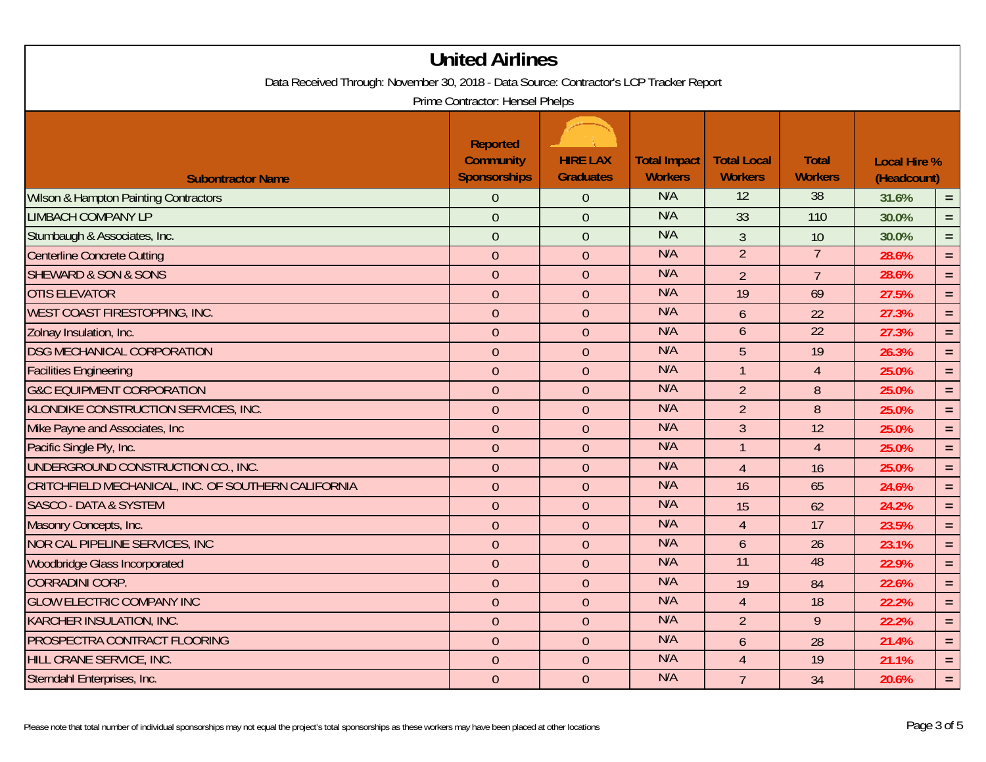|                                                                                                                            | <b>United Airlines</b>                                     |                                     |                                       |                                      |                                |                                    |          |  |
|----------------------------------------------------------------------------------------------------------------------------|------------------------------------------------------------|-------------------------------------|---------------------------------------|--------------------------------------|--------------------------------|------------------------------------|----------|--|
| Data Received Through: November 30, 2018 - Data Source: Contractor's LCP Tracker Report<br>Prime Contractor: Hensel Phelps |                                                            |                                     |                                       |                                      |                                |                                    |          |  |
| <b>Subontractor Name</b>                                                                                                   | <b>Reported</b><br><b>Community</b><br><b>Sponsorships</b> | <b>HIRE LAX</b><br><b>Graduates</b> | <b>Total Impact</b><br><b>Workers</b> | <b>Total Local</b><br><b>Workers</b> | <b>Total</b><br><b>Workers</b> | <b>Local Hire %</b><br>(Headcount) |          |  |
| <b>Wilson &amp; Hampton Painting Contractors</b>                                                                           | $\overline{0}$                                             | $\theta$                            | N/A                                   | $\overline{12}$                      | $\overline{38}$                | 31.6%                              | $=$      |  |
| <b>LIMBACH COMPANY LP</b>                                                                                                  | $\overline{0}$                                             | $\theta$                            | N/A                                   | 33                                   | 110                            | 30.0%                              | $\equiv$ |  |
| Stumbaugh & Associates, Inc.                                                                                               | $\overline{0}$                                             | $\theta$                            | N/A                                   | $\overline{3}$                       | 10                             | 30.0%                              | $\equiv$ |  |
| <b>Centerline Concrete Cutting</b>                                                                                         | $\overline{0}$                                             | $\overline{0}$                      | N/A                                   | $\overline{2}$                       | $\overline{7}$                 | 28.6%                              | $\equiv$ |  |
| <b>SHEWARD &amp; SON &amp; SONS</b>                                                                                        | $\overline{0}$                                             | $\overline{0}$                      | N/A                                   | $\overline{2}$                       | $\overline{7}$                 | 28.6%                              | $=$      |  |
| <b>OTIS ELEVATOR</b>                                                                                                       | $\overline{0}$                                             | $\overline{0}$                      | N/A                                   | 19                                   | 69                             | 27.5%                              | $\equiv$ |  |
| WEST COAST FIRESTOPPING, INC.                                                                                              | $\overline{0}$                                             | $\overline{0}$                      | N/A                                   | 6                                    | 22                             | 27.3%                              | $=$ $\,$ |  |
| Zolnay Insulation, Inc.                                                                                                    | $\overline{0}$                                             | $\overline{0}$                      | N/A                                   | 6                                    | $\overline{22}$                | 27.3%                              | $\equiv$ |  |
| <b>DSG MECHANICAL CORPORATION</b>                                                                                          | $\overline{0}$                                             | $\theta$                            | N/A                                   | 5                                    | 19                             | 26.3%                              | $\equiv$ |  |
| <b>Facilities Engineering</b>                                                                                              | $\overline{0}$                                             | $\theta$                            | N/A                                   | $\mathbf{1}$                         | $\overline{4}$                 | 25.0%                              | $\equiv$ |  |
| <b>G&amp;C EQUIPMENT CORPORATION</b>                                                                                       | $\overline{0}$                                             | $\theta$                            | N/A                                   | $\overline{2}$                       | $\, 8$                         | 25.0%                              | $=$ $\,$ |  |
| KLONDIKE CONSTRUCTION SERVICES, INC.                                                                                       | $\overline{0}$                                             | $\overline{0}$                      | N/A                                   | $\overline{2}$                       | 8                              | 25.0%                              | $\equiv$ |  |
| Mike Payne and Associates, Inc.                                                                                            | $\overline{0}$                                             | $\overline{0}$                      | N/A                                   | $\overline{3}$                       | 12                             | 25.0%                              | $\equiv$ |  |
| Pacific Single Ply, Inc.                                                                                                   | $\overline{0}$                                             | $\overline{0}$                      | N/A                                   | $\overline{1}$                       | $\overline{4}$                 | 25.0%                              | $=$      |  |
| UNDERGROUND CONSTRUCTION CO., INC.                                                                                         | $\overline{0}$                                             | $\overline{0}$                      | N/A                                   | $\overline{4}$                       | 16                             | 25.0%                              | $\equiv$ |  |
| CRITCHFIELD MECHANICAL, INC. OF SOUTHERN CALIFORNIA                                                                        | $\overline{0}$                                             | $\overline{0}$                      | N/A                                   | 16                                   | 65                             | 24.6%                              | $=$      |  |
| <b>SASCO - DATA &amp; SYSTEM</b>                                                                                           | $\overline{0}$                                             | $\overline{0}$                      | N/A                                   | 15                                   | 62                             | 24.2%                              | $\equiv$ |  |
| Masonry Concepts, Inc.                                                                                                     | $\overline{0}$                                             | $\overline{0}$                      | N/A                                   | $\overline{4}$                       | 17                             | 23.5%                              | $\equiv$ |  |
| <b>NOR CAL PIPELINE SERVICES, INC</b>                                                                                      | $\overline{0}$                                             | $\theta$                            | N/A                                   | 6                                    | 26                             | 23.1%                              | $\equiv$ |  |
| <b>Woodbridge Glass Incorporated</b>                                                                                       | $\overline{0}$                                             | $\theta$                            | N/A                                   | $\overline{11}$                      | 48                             | 22.9%                              | $=$      |  |
| <b>CORRADINI CORP.</b>                                                                                                     | $\overline{0}$                                             | $\overline{0}$                      | N/A                                   | 19                                   | 84                             | 22.6%                              | $\equiv$ |  |
| <b>GLOW ELECTRIC COMPANY INC</b>                                                                                           | $\overline{0}$                                             | $\overline{0}$                      | N/A                                   | $\overline{4}$                       | 18                             | 22.2%                              | $=$ $\,$ |  |
| KARCHER INSULATION, INC.                                                                                                   | $\overline{0}$                                             | $\overline{0}$                      | N/A                                   | $\overline{2}$                       | 9                              | 22.2%                              | $=$      |  |
| PROSPECTRA CONTRACT FLOORING                                                                                               | $\overline{0}$                                             | $\overline{0}$                      | N/A                                   | 6                                    | 28                             | 21.4%                              | $\equiv$ |  |
| HILL CRANE SERVICE, INC.                                                                                                   | $\overline{0}$                                             | $\overline{0}$                      | N/A                                   | $\overline{4}$                       | 19                             | 21.1%                              | $=$ $\,$ |  |
| Sterndahl Enterprises, Inc.                                                                                                | $\overline{0}$                                             | $\theta$                            | N/A                                   | $\overline{7}$                       | 34                             | 20.6%                              | $\equiv$ |  |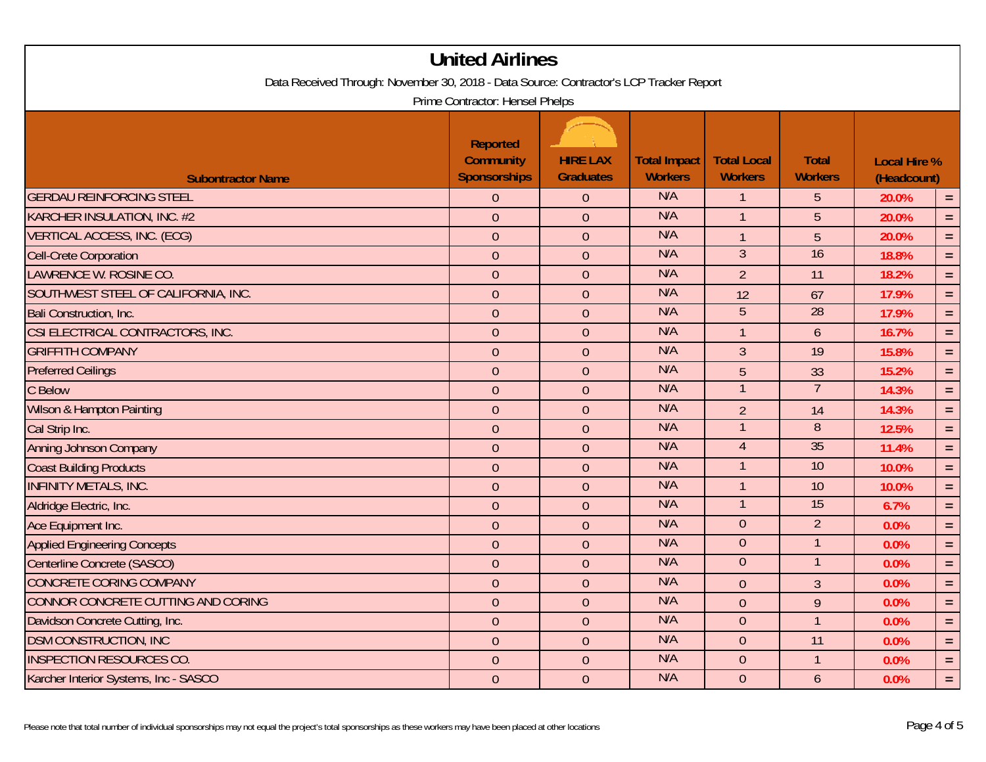| Data Received Through: November 30, 2018 - Data Source: Contractor's LCP Tracker Report | <b>United Airlines</b>                                     |                                     |                                       |                                      |                                |                                    |          |  |
|-----------------------------------------------------------------------------------------|------------------------------------------------------------|-------------------------------------|---------------------------------------|--------------------------------------|--------------------------------|------------------------------------|----------|--|
| Prime Contractor: Hensel Phelps                                                         |                                                            |                                     |                                       |                                      |                                |                                    |          |  |
| <b>Subontractor Name</b>                                                                | <b>Reported</b><br><b>Community</b><br><b>Sponsorships</b> | <b>HIRE LAX</b><br><b>Graduates</b> | <b>Total Impact</b><br><b>Workers</b> | <b>Total Local</b><br><b>Workers</b> | <b>Total</b><br><b>Workers</b> | <b>Local Hire %</b><br>(Headcount) |          |  |
| <b>GERDAU REINFORCING STEEL</b>                                                         | $\theta$                                                   | $\theta$                            | N/A                                   | $\mathbf{1}$                         | 5                              | 20.0%                              | $=$      |  |
| KARCHER INSULATION, INC. #2                                                             | $\mathbf 0$                                                | $\boldsymbol{0}$                    | N/A                                   | $\mathbf{1}$                         | $\overline{5}$                 | 20.0%                              | $=$      |  |
| <b>VERTICAL ACCESS, INC. (ECG)</b>                                                      | $\overline{0}$                                             | $\overline{0}$                      | N/A                                   | $\mathbf{1}$                         | 5                              | 20.0%                              | $\equiv$ |  |
| <b>Cell-Crete Corporation</b>                                                           | $\overline{0}$                                             | $\overline{0}$                      | N/A                                   | $\overline{3}$                       | 16                             | 18.8%                              | $\equiv$ |  |
| LAWRENCE W. ROSINE CO.                                                                  | $\overline{0}$                                             | $\theta$                            | N/A                                   | $\overline{2}$                       | 11                             | 18.2%                              | $\equiv$ |  |
| SOUTHWEST STEEL OF CALIFORNIA, INC.                                                     | $\mathbf 0$                                                | $\theta$                            | N/A                                   | 12                                   | 67                             | 17.9%                              | $\equiv$ |  |
| Bali Construction, Inc.                                                                 | $\overline{0}$                                             | $\overline{0}$                      | N/A                                   | $\overline{5}$                       | 28                             | 17.9%                              | $=$ $\,$ |  |
| CSI ELECTRICAL CONTRACTORS, INC.                                                        | $\overline{0}$                                             | $\overline{0}$                      | N/A                                   | $\mathbf{1}$                         | $\mathfrak b$                  | 16.7%                              | $\equiv$ |  |
| <b>GRIFFITH COMPANY</b>                                                                 | $\overline{0}$                                             | $\overline{0}$                      | N/A                                   | $\overline{3}$                       | 19                             | 15.8%                              | $\equiv$ |  |
| <b>Preferred Ceilings</b>                                                               | $\mathbf 0$                                                | $\theta$                            | N/A                                   | 5                                    | 33                             | 15.2%                              | $\equiv$ |  |
| C Below                                                                                 | $\boldsymbol{0}$                                           | $\overline{0}$                      | N/A                                   | $\mathbf{1}$                         | $\overline{7}$                 | 14.3%                              | $=$      |  |
| Wilson & Hampton Painting                                                               | $\overline{0}$                                             | $\overline{0}$                      | N/A                                   | $\overline{2}$                       | 14                             | 14.3%                              | $=$ $\,$ |  |
| Cal Strip Inc.                                                                          | $\overline{0}$                                             | $\overline{0}$                      | N/A                                   | $\overline{1}$                       | $\overline{8}$                 | 12.5%                              | $\equiv$ |  |
| <b>Anning Johnson Company</b>                                                           | $\overline{0}$                                             | $\theta$                            | N/A                                   | $\overline{4}$                       | 35                             | 11.4%                              | $\equiv$ |  |
| <b>Coast Building Products</b>                                                          | $\overline{0}$                                             | $\theta$                            | N/A                                   | $\mathbf{1}$                         | 10                             | 10.0%                              | $\equiv$ |  |
| <b>INFINITY METALS, INC.</b>                                                            | $\mathbf 0$                                                | $\overline{0}$                      | N/A                                   | $\mathbf{1}$                         | 10                             | 10.0%                              | $=$      |  |
| Aldridge Electric, Inc.                                                                 | $\overline{0}$                                             | $\overline{0}$                      | N/A                                   | $\mathbf{1}$                         | 15                             | 6.7%                               | $=$ $\,$ |  |
| Ace Equipment Inc.                                                                      | $\overline{0}$                                             | $\overline{0}$                      | N/A                                   | $\overline{0}$                       | $\overline{2}$                 | 0.0%                               | $\equiv$ |  |
| <b>Applied Engineering Concepts</b>                                                     | $\overline{0}$                                             | $\theta$                            | N/A                                   | $\overline{0}$                       | 1                              | 0.0%                               | $\equiv$ |  |
| Centerline Concrete (SASCO)                                                             | $\boldsymbol{0}$                                           | $\theta$                            | N/A                                   | $\overline{0}$                       | $\mathbf{1}$                   | 0.0%                               | $\equiv$ |  |
| <b>CONCRETE CORING COMPANY</b>                                                          | $\mathbf 0$                                                | $\overline{0}$                      | N/A                                   | $\overline{0}$                       | $\overline{3}$                 | 0.0%                               | $=$ $\,$ |  |
| CONNOR CONCRETE CUTTING AND CORING                                                      | $\overline{0}$                                             | $\overline{0}$                      | N/A                                   | $\overline{0}$                       | 9                              | 0.0%                               | $\equiv$ |  |
| Davidson Concrete Cutting, Inc.                                                         | $\overline{0}$                                             | $\overline{0}$                      | N/A                                   | $\overline{0}$                       | $\overline{1}$                 | 0.0%                               | $\equiv$ |  |
| <b>DSM CONSTRUCTION, INC</b>                                                            | $\overline{0}$                                             | $\theta$                            | N/A                                   | $\theta$                             | 11                             | 0.0%                               | $\equiv$ |  |
| <b>INSPECTION RESOURCES CO.</b>                                                         | $\mathbf 0$                                                | $\overline{0}$                      | N/A                                   | $\boldsymbol{0}$                     | $\mathbf{1}$                   | 0.0%                               | $\equiv$ |  |
| Karcher Interior Systems, Inc - SASCO                                                   | $\overline{0}$                                             | $\overline{0}$                      | N/A                                   | $\overline{0}$                       | $\overline{6}$                 | 0.0%                               | $\equiv$ |  |